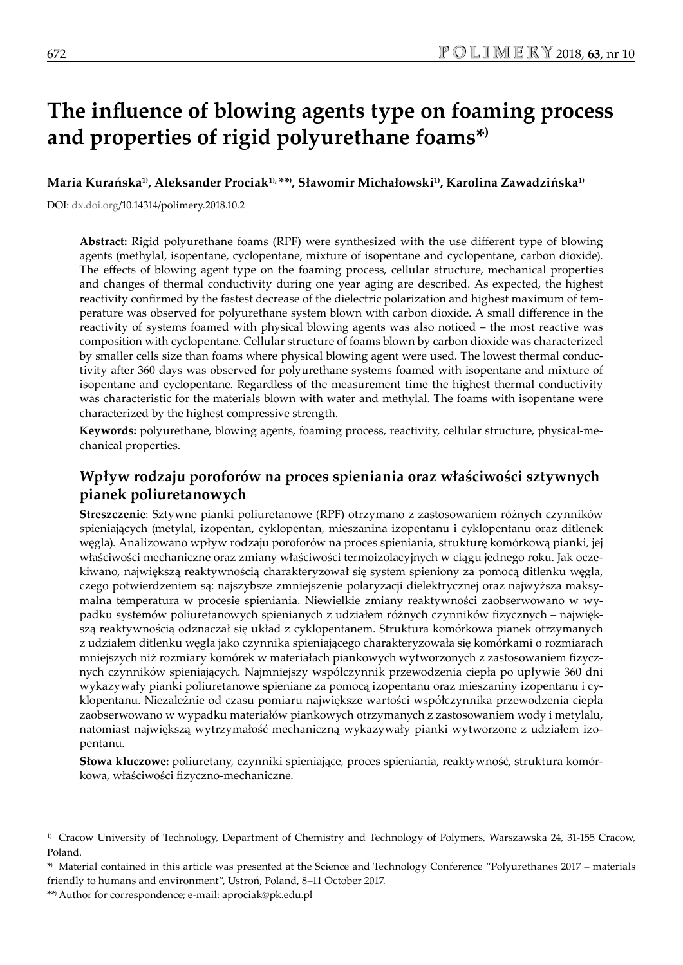# **The influence of blowing agents type on foaming process and properties of rigid polyurethane foams\*)**

**Maria Kurańska1), Aleksander Prociak1), \*\*) , Sławomir Michałowski1), Karolina Zawadzińska1)**

DOI: dx.doi.org/10.14314/polimery.2018.10.2

**Abstract:** Rigid polyurethane foams (RPF) were synthesized with the use different type of blowing agents (methylal, isopentane, cyclopentane, mixture of isopentane and cyclopentane, carbon dioxide). The effects of blowing agent type on the foaming process, cellular structure, mechanical properties and changes of thermal conductivity during one year aging are described. As expected, the highest reactivity confirmed by the fastest decrease of the dielectric polarization and highest maximum of temperature was observed for polyurethane system blown with carbon dioxide. A small difference in the reactivity of systems foamed with physical blowing agents was also noticed – the most reactive was composition with cyclopentane. Cellular structure of foams blown by carbon dioxide was characterized by smaller cells size than foams where physical blowing agent were used. The lowest thermal conductivity after 360 days was observed for polyurethane systems foamed with isopentane and mixture of isopentane and cyclopentane. Regardless of the measurement time the highest thermal conductivity was characteristic for the materials blown with water and methylal. The foams with isopentane were characterized by the highest compressive strength.

**Keywords:** polyurethane, blowing agents, foaming process, reactivity, cellular structure, physical-mechanical properties.

# **Wpływ rodzaju poroforów na proces spieniania oraz właściwości sztywnych pianek poliuretanowych**

**Streszczenie**: Sztywne pianki poliuretanowe (RPF) otrzymano z zastosowaniem różnych czynników spieniających (metylal, izopentan, cyklopentan, mieszanina izopentanu i cyklopentanu oraz ditlenek węgla). Analizowano wpływ rodzaju poroforów na proces spieniania, strukturę komórkową pianki, jej właściwości mechaniczne oraz zmiany właściwości termoizolacyjnych w ciągu jednego roku. Jak oczekiwano, największą reaktywnością charakteryzował się system spieniony za pomocą ditlenku węgla, czego potwierdzeniem są: najszybsze zmniejszenie polaryzacji dielektrycznej oraz najwyższa maksymalna temperatura w procesie spieniania. Niewielkie zmiany reaktywności zaobserwowano w wypadku systemów poliuretanowych spienianych z udziałem różnych czynników fizycznych – największą reaktywnością odznaczał się układ z cyklopentanem. Struktura komórkowa pianek otrzymanych z udziałem ditlenku węgla jako czynnika spieniającego charakteryzowała się komórkami o rozmiarach mniejszych niż rozmiary komórek w materiałach piankowych wytworzonych z zastosowaniem fizycznych czynników spieniających. Najmniejszy współczynnik przewodzenia ciepła po upływie 360 dni wykazywały pianki poliuretanowe spieniane za pomocą izopentanu oraz mieszaniny izopentanu i cyklopentanu. Niezależnie od czasu pomiaru największe wartości współczynnika przewodzenia ciepła zaobserwowano w wypadku materiałów piankowych otrzymanych z zastosowaniem wody i metylalu, natomiast największą wytrzymałość mechaniczną wykazywały pianki wytworzone z udziałem izopentanu.

**Słowa kluczowe:** poliuretany, czynniki spieniające, proces spieniania, reaktywność, struktura komórkowa, właściwości fizyczno-mechaniczne.

<sup>&</sup>lt;sup>1)</sup> Cracow University of Technology, Department of Chemistry and Technology of Polymers, Warszawska 24, 31-155 Cracow, Poland.

<sup>\*)</sup> Material contained in this article was presented at the Science and Technology Conference "Polyurethanes 2017 – materials friendly to humans and environment", Ustroń, Poland, 8–11 October 2017.

<sup>\*\*)</sup> Author for correspondence; e-mail: aprociak@pk.edu.pl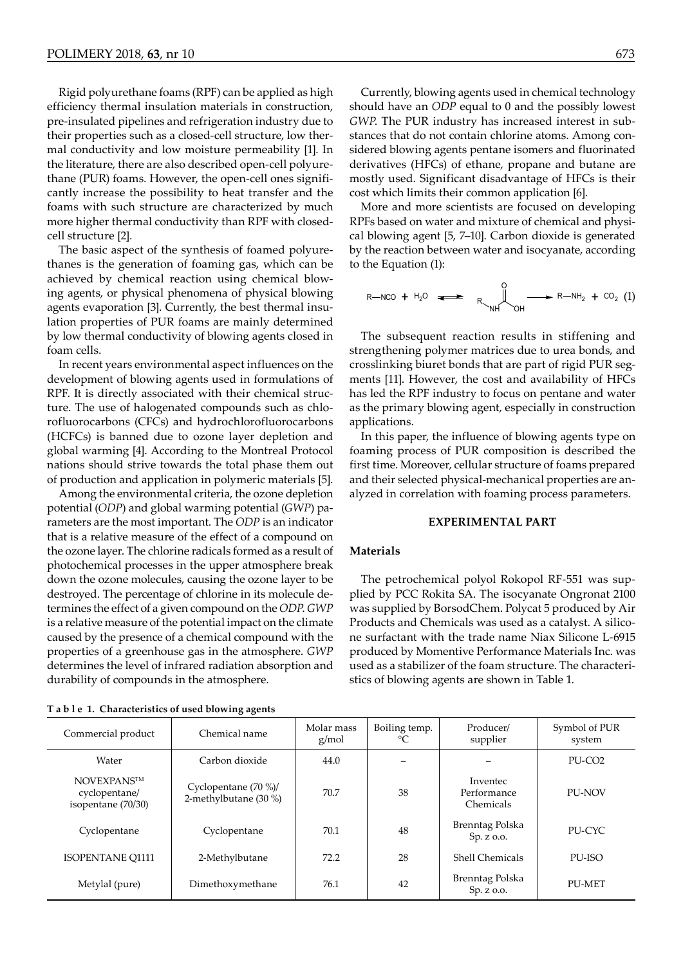Rigid polyurethane foams (RPF) can be applied as high efficiency thermal insulation materials in construction, pre-insulated pipelines and refrigeration industry due to their properties such as a closed-cell structure, low thermal conductivity and low moisture permeability [1]. In the literature, there are also described open-cell polyurethane (PUR) foams. However, the open-cell ones significantly increase the possibility to heat transfer and the foams with such structure are characterized by much more higher thermal conductivity than RPF with closedcell structure [2].

The basic aspect of the synthesis of foamed polyurethanes is the generation of foaming gas, which can be achieved by chemical reaction using chemical blowing agents, or physical phenomena of physical blowing agents evaporation [3]. Currently, the best thermal insulation properties of PUR foams are mainly determined by low thermal conductivity of blowing agents closed in foam cells.

In recent years environmental aspect influences on the development of blowing agents used in formulations of RPF. It is directly associated with their chemical structure. The use of halogenated compounds such as chlorofluorocarbons (CFCs) and hydrochlorofluorocarbons (HCFCs) is banned due to ozone layer depletion and global warming [4]. According to the Montreal Protocol nations should strive towards the total phase them out of production and application in polymeric materials [5].

Among the environmental criteria, the ozone depletion potential (*ODP*) and global warming potential (*GWP*) parameters are the most important. The *ODP* is an indicator that is a relative measure of the effect of a compound on the ozone layer. The chlorine radicals formed as a result of photochemical processes in the upper atmosphere break down the ozone molecules, causing the ozone layer to be destroyed. The percentage of chlorine in its molecule determines the effect of a given compound on the *ODP*. *GWP* is a relative measure of the potential impact on the climate caused by the presence of a chemical compound with the properties of a greenhouse gas in the atmosphere. *GWP* determines the level of infrared radiation absorption and durability of compounds in the atmosphere.

Currently, blowing agents used in chemical technology should have an *ODP* equal to 0 and the possibly lowest *GWP*. The PUR industry has increased interest in substances that do not contain chlorine atoms. Among considered blowing agents pentane isomers and fluorinated derivatives (HFCs) of ethane, propane and butane are mostly used. Significant disadvantage of HFCs is their cost which limits their common application [6].

More and more scientists are focused on developing RPFs based on water and mixture of chemical and physical blowing agent [5, 7–10]. Carbon dioxide is generated by the reaction between water and isocyanate, according to the Equation (1):

$$
R-NCO + H_2O \iff \bigcap_{N \vdash I} O_{N \vdash I} \longrightarrow R-NH_2 + CO_2 (1)
$$

The subsequent reaction results in stiffening and strengthening polymer matrices due to urea bonds, and crosslinking biuret bonds that are part of rigid PUR segments [11]. However, the cost and availability of HFCs has led the RPF industry to focus on pentane and water as the primary blowing agent, especially in construction applications.

In this paper, the influence of blowing agents type on foaming process of PUR composition is described the first time. Moreover, cellular structure of foams prepared and their selected physical-mechanical properties are analyzed in correlation with foaming process parameters.

# **EXPERIMENTAL PART**

#### **Materials**

The petrochemical polyol Rokopol RF-551 was supplied by PCC Rokita SA. The isocyanate Ongronat 2100 was supplied by BorsodChem. Polycat 5 produced by Air Products and Chemicals was used as a catalyst. A silicone surfactant with the trade name Niax Silicone L-6915 produced by Momentive Performance Materials Inc. was used as a stabilizer of the foam structure. The characteristics of blowing agents are shown in Table 1.

|  |  |  |  | T a b l e 1. Characteristics of used blowing agents |
|--|--|--|--|-----------------------------------------------------|
|--|--|--|--|-----------------------------------------------------|

| Commercial product                                        | Chemical name                                  | Molar mass<br>g/mol | Boiling temp. | Producer/<br>supplier                | Symbol of PUR<br>system |
|-----------------------------------------------------------|------------------------------------------------|---------------------|---------------|--------------------------------------|-------------------------|
| Water                                                     | Carbon dioxide                                 | 44.0                |               |                                      | PU-CO <sub>2</sub>      |
| <b>NOVEXPANSTM</b><br>cyclopentane/<br>isopentane (70/30) | Cyclopentane $(70\%)$<br>2-methylbutane (30 %) | 70.7                | 38            | Inventec<br>Performance<br>Chemicals | PU-NOV                  |
| Cyclopentane                                              | Cyclopentane                                   | 70.1                | 48            | Brenntag Polska<br>Sp. z o.o.        | PU-CYC                  |
| <b>ISOPENTANE O1111</b>                                   | 2-Methylbutane                                 | 72.2                | 28            | <b>Shell Chemicals</b>               | PU-ISO                  |
| Metylal (pure)                                            | Dimethoxymethane                               | 76.1                | 42            | Brenntag Polska<br>Sp. z o.o.        | <b>PU-MET</b>           |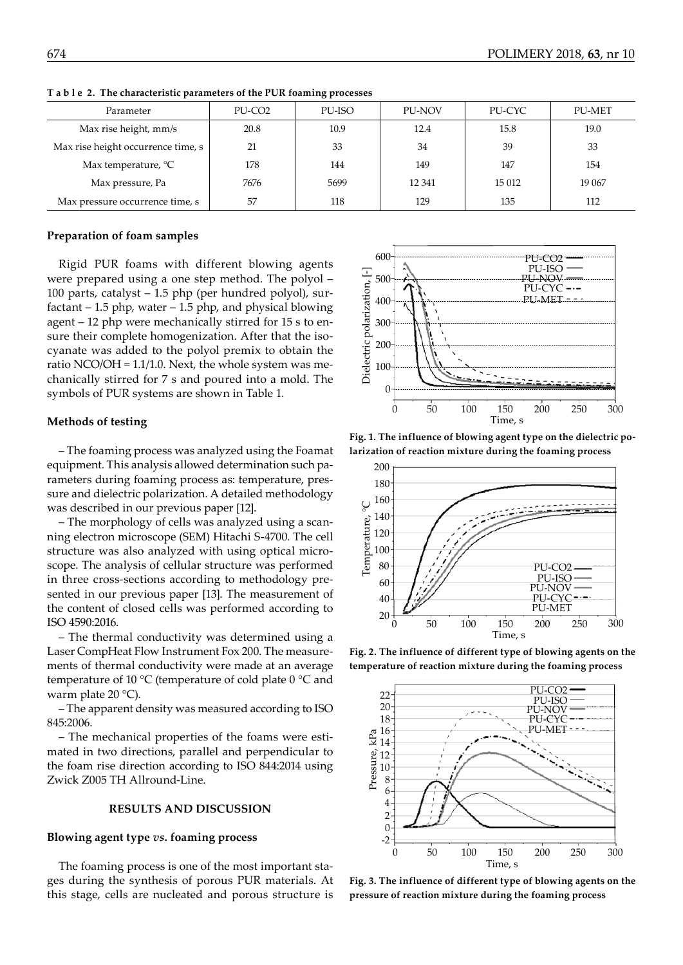| Parameter                          | PU-CO <sub>2</sub> | PU-ISO | <b>PU-NOV</b> | PU-CYC | <b>PU-MET</b> |
|------------------------------------|--------------------|--------|---------------|--------|---------------|
| Max rise height, mm/s              | 20.8               | 10.9   | 12.4          | 15.8   | 19.0          |
| Max rise height occurrence time, s | 21                 | 33     | 34            | 39     | 33            |
| Max temperature, $^{\circ}C$       | 178                | 144    | 149           | 147    | 154           |
| Max pressure, Pa                   | 7676               | 5699   | 12 341        | 15 012 | 19 067        |
| Max pressure occurrence time, s    | 57                 | 118    | 129           | 135    | 112           |

**T a b l e 2. The characteristic parameters of the PUR foaming processes**

## **Preparation of foam samples**

Rigid PUR foams with different blowing agents were prepared using a one step method. The polyol – 100 parts, catalyst – 1.5 php (per hundred polyol), surfactant  $-1.5$  php, water  $-1.5$  php, and physical blowing agent – 12 php were mechanically stirred for 15 s to ensure their complete homogenization. After that the isocyanate was added to the polyol premix to obtain the ratio NCO/OH = 1.1/1.0. Next, the whole system was mechanically stirred for 7 s and poured into a mold. The symbols of PUR systems are shown in Table 1.

#### **Methods of testing**

– The foaming process was analyzed using the Foamat equipment. This analysis allowed determination such parameters during foaming process as: temperature, pressure and dielectric polarization. A detailed methodology was described in our previous paper [12].

– The morphology of cells was analyzed using a scanning electron microscope (SEM) Hitachi S-4700. The cell structure was also analyzed with using optical microscope. The analysis of cellular structure was performed in three cross-sections according to methodology presented in our previous paper [13]. The measurement of the content of closed cells was performed according to ISO 4590:2016.

– The thermal conductivity was determined using a Laser CompHeat Flow Instrument Fox 200. The measurements of thermal conductivity were made at an average temperature of 10 °C (temperature of cold plate 0 °C and warm plate 20 °C).

– The apparent density was measured according to ISO 845:2006.

– The mechanical properties of the foams were estimated in two directions, parallel and perpendicular to the foam rise direction according to ISO 844:2014 using Zwick Z005 TH Allround-Line.

# **RESULTS AND DISCUSSION**

## **Blowing agent type** *vs***. foaming process**

The foaming process is one of the most important stages during the synthesis of porous PUR materials. At this stage, cells are nucleated and porous structure is



**Fig. 1. The influence of blowing agent type on the dielectric polarization of reaction mixture during the foaming process**



**Fig. 2. The influence of different type of blowing agents on the temperature of reaction mixture during the foaming process**



**Fig. 3. The influence of different type of blowing agents on the pressure of reaction mixture during the foaming process**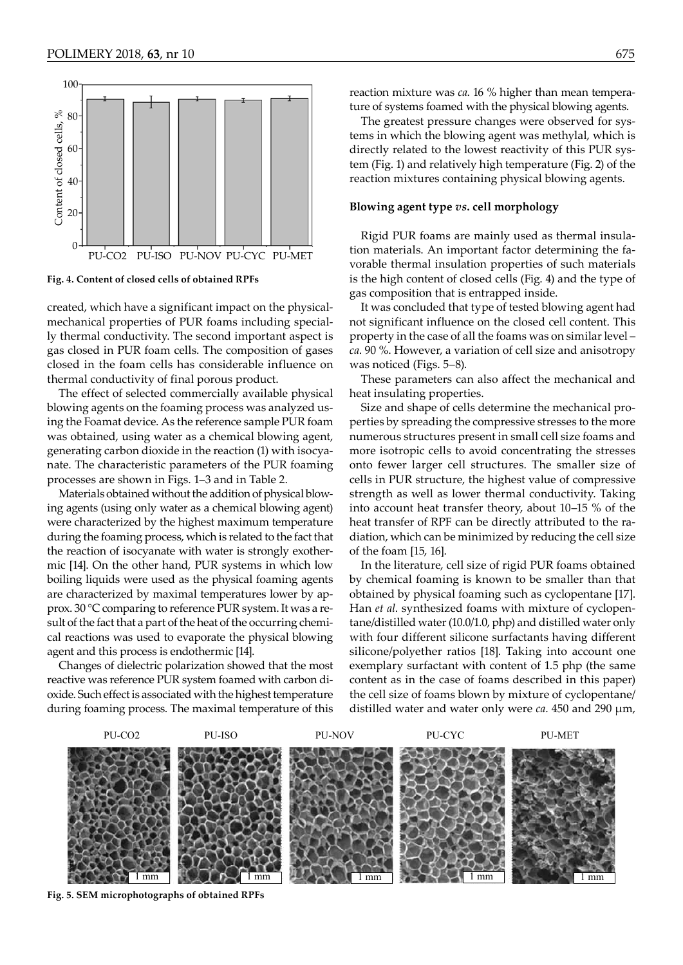

**Fig. 4. Content of closed cells of obtained RPFs**

created, which have a significant impact on the physicalmechanical properties of PUR foams including specially thermal conductivity. The second important aspect is gas closed in PUR foam cells. The composition of gases closed in the foam cells has considerable influence on thermal conductivity of final porous product.

The effect of selected commercially available physical blowing agents on the foaming process was analyzed using the Foamat device. As the reference sample PUR foam was obtained, using water as a chemical blowing agent, generating carbon dioxide in the reaction (1) with isocyanate. The characteristic parameters of the PUR foaming processes are shown in Figs. 1–3 and in Table 2.

Materials obtained without the addition of physical blowing agents (using only water as a chemical blowing agent) were characterized by the highest maximum temperature during the foaming process, which is related to the fact that the reaction of isocyanate with water is strongly exothermic [14]. On the other hand, PUR systems in which low boiling liquids were used as the physical foaming agents are characterized by maximal temperatures lower by approx. 30 °C comparing to reference PUR system. It was a result of the fact that a part of the heat of the occurring chemical reactions was used to evaporate the physical blowing agent and this process is endothermic [14].

Changes of dielectric polarization showed that the most reactive was reference PUR system foamed with carbon dioxide. Such effect is associated with the highest temperature during foaming process. The maximal temperature of this reaction mixture was *ca*. 16 % higher than mean temperature of systems foamed with the physical blowing agents.

The greatest pressure changes were observed for systems in which the blowing agent was methylal, which is directly related to the lowest reactivity of this PUR system (Fig. 1) and relatively high temperature (Fig. 2) of the reaction mixtures containing physical blowing agents.

#### **Blowing agent type** *vs***. cell morphology**

Rigid PUR foams are mainly used as thermal insulation materials. An important factor determining the favorable thermal insulation properties of such materials is the high content of closed cells (Fig. 4) and the type of gas composition that is entrapped inside.

It was concluded that type of tested blowing agent had not significant influence on the closed cell content. This property in the case of all the foams was on similar level – *ca*. 90 %. However, a variation of cell size and anisotropy was noticed (Figs. 5–8).

These parameters can also affect the mechanical and heat insulating properties.

Size and shape of cells determine the mechanical properties by spreading the compressive stresses to the more numerous structures present in small cell size foams and more isotropic cells to avoid concentrating the stresses onto fewer larger cell structures. The smaller size of cells in PUR structure, the highest value of compressive strength as well as lower thermal conductivity. Taking into account heat transfer theory, about 10–15 % of the heat transfer of RPF can be directly attributed to the radiation, which can be minimized by reducing the cell size of the foam [15, 16].

In the literature, cell size of rigid PUR foams obtained by chemical foaming is known to be smaller than that obtained by physical foaming such as cyclopentane [17]. Han *et al*. synthesized foams with mixture of cyclopentane/distilled water (10.0/1.0, php) and distilled water only with four different silicone surfactants having different silicone/polyether ratios [18]. Taking into account one exemplary surfactant with content of 1.5 php (the same content as in the case of foams described in this paper) the cell size of foams blown by mixture of cyclopentane/ distilled water and water only were *ca*. 450 and 290 µm,



**Fig. 5. SEM microphotographs of obtained RPFs**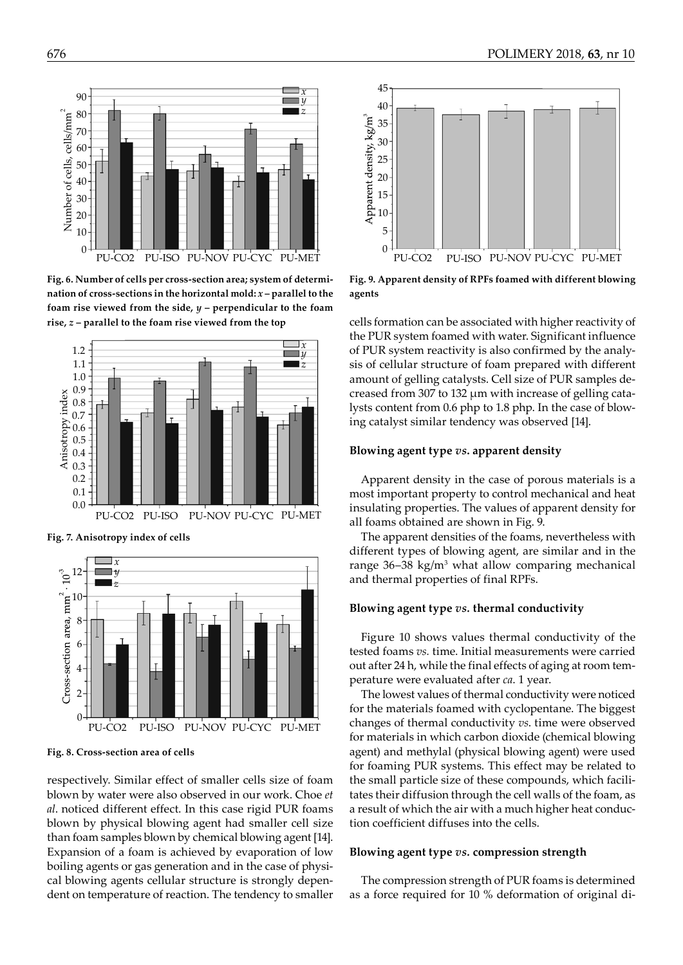

**Fig. 6. Number of cells per cross-section area; system of determination of cross-sections in the horizontal mold:** *x* **– parallel to the foam rise viewed from the side,** *y* **– perpendicular to the foam rise,** *z* **– parallel to the foam rise viewed from the top**



**Fig. 7. Anisotropy index of cells** 



**Fig. 8. Cross-section area of cells**

respectively. Similar effect of smaller cells size of foam blown by water were also observed in our work. Choe *et al*. noticed different effect. In this case rigid PUR foams blown by physical blowing agent had smaller cell size than foam samples blown by chemical blowing agent [14]. Expansion of a foam is achieved by evaporation of low boiling agents or gas generation and in the case of physical blowing agents cellular structure is strongly dependent on temperature of reaction. The tendency to smaller



**Fig. 9. Apparent density of RPFs foamed with different blowing agents**

cells formation can be associated with higher reactivity of the PUR system foamed with water. Significant influence of PUR system reactivity is also confirmed by the analysis of cellular structure of foam prepared with different amount of gelling catalysts. Cell size of PUR samples decreased from 307 to 132 µm with increase of gelling catalysts content from 0.6 php to 1.8 php. In the case of blowing catalyst similar tendency was observed [14].

# **Blowing agent type** *vs***. apparent density**

Apparent density in the case of porous materials is a most important property to control mechanical and heat insulating properties. The values of apparent density for all foams obtained are shown in Fig. 9.

The apparent densities of the foams, nevertheless with different types of blowing agent, are similar and in the range  $36-38$  kg/m<sup>3</sup> what allow comparing mechanical and thermal properties of final RPFs.

# **Blowing agent type** *vs.* **thermal conductivity**

Figure 10 shows values thermal conductivity of the tested foams *vs.* time. Initial measurements were carried out after 24 h, while the final effects of aging at room temperature were evaluated after *ca*. 1 year.

The lowest values of thermal conductivity were noticed for the materials foamed with cyclopentane. The biggest changes of thermal conductivity *vs*. time were observed for materials in which carbon dioxide (chemical blowing agent) and methylal (physical blowing agent) were used for foaming PUR systems. This effect may be related to the small particle size of these compounds, which facilitates their diffusion through the cell walls of the foam, as a result of which the air with a much higher heat conduction coefficient diffuses into the cells.

# **Blowing agent type** *vs.* **compression strength**

The compression strength of PUR foams is determined as a force required for 10 % deformation of original di-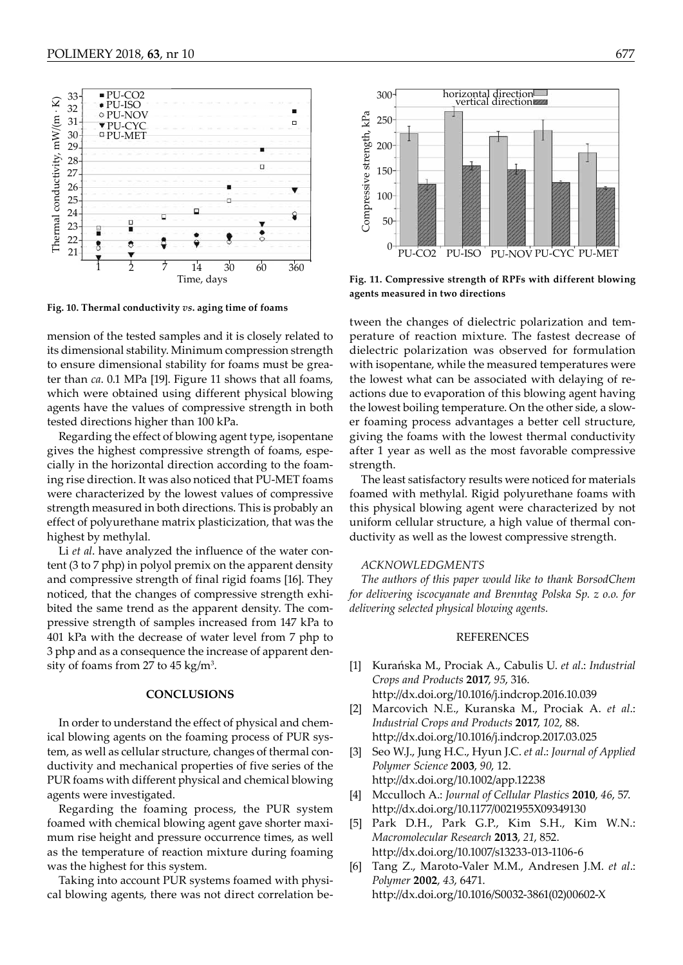

**Fig. 10. Thermal conductivity** *vs***. aging time of foams**

mension of the tested samples and it is closely related to its dimensional stability. Minimum compression strength to ensure dimensional stability for foams must be greater than *ca*. 0.1 MPa [19]. Figure 11 shows that all foams, which were obtained using different physical blowing agents have the values of compressive strength in both tested directions higher than 100 kPa.

Regarding the effect of blowing agent type, isopentane gives the highest compressive strength of foams, especially in the horizontal direction according to the foaming rise direction. It was also noticed that PU-MET foams were characterized by the lowest values of compressive strength measured in both directions. This is probably an effect of polyurethane matrix plasticization, that was the highest by methylal.

Li *et al*. have analyzed the influence of the water content (3 to 7 php) in polyol premix on the apparent density and compressive strength of final rigid foams [16]. They noticed, that the changes of compressive strength exhibited the same trend as the apparent density. The compressive strength of samples increased from 147 kPa to 401 kPa with the decrease of water level from 7 php to 3 php and as a consequence the increase of apparent density of foams from 27 to 45 kg/m<sup>3</sup>.

#### **CONCLUSIONS**

In order to understand the effect of physical and chemical blowing agents on the foaming process of PUR system, as well as cellular structure, changes of thermal conductivity and mechanical properties of five series of the PUR foams with different physical and chemical blowing agents were investigated.

Regarding the foaming process, the PUR system foamed with chemical blowing agent gave shorter maximum rise height and pressure occurrence times, as well as the temperature of reaction mixture during foaming was the highest for this system.

Taking into account PUR systems foamed with physical blowing agents, there was not direct correlation be-



**Fig. 11. Compressive strength of RPFs with different blowing agents measured in two directions** 

tween the changes of dielectric polarization and temperature of reaction mixture. The fastest decrease of dielectric polarization was observed for formulation with isopentane, while the measured temperatures were the lowest what can be associated with delaying of reactions due to evaporation of this blowing agent having the lowest boiling temperature. On the other side, a slower foaming process advantages a better cell structure, giving the foams with the lowest thermal conductivity after 1 year as well as the most favorable compressive strength.

The least satisfactory results were noticed for materials foamed with methylal. Rigid polyurethane foams with this physical blowing agent were characterized by not uniform cellular structure, a high value of thermal conductivity as well as the lowest compressive strength.

#### *ACKNOWLEDGMENTS*

*The authors of this paper would like to thank BorsodChem for delivering iscocyanate and Brenntag Polska Sp. z o.o. for delivering selected physical blowing agents.*

### REFERENCES

- [1] Kurańska M., Prociak A., Cabulis U. *et al*.: *Industrial Crops and Products* **2017**, *95*, 316. <http://dx.doi.org/10.1016/j.indcrop.2016.10.039>
- [2] Marcovich N.E., Kuranska M., Prociak A. *et al*.: *Industrial Crops and Products* **2017**, *102*, 88. <http://dx.doi.org/10.1016/j.indcrop.2017.03.025>
- [3] Seo W.J., Jung H.C., Hyun J.C. *et al*.: *Journal of Applied Polymer Science* **2003**, *90*, 12. <http://dx.doi.org/10.1002/app.12238>
- [4] Mcculloch A.: *Journal of Cellular Plastics* **2010**, *46*, 57. <http://dx.doi.org/10.1177/0021955X09349130>
- [5] Park D.H., Park G.P., Kim S.H., Kim W.N.: *Macromolecular Research* **2013**, *21*, 852. <http://dx.doi.org/10.1007/s13233-013-1106-6>
- [6] Tang Z., Maroto-Valer M.M., Andresen J.M. *et al*.: *Polymer* **2002**, *43*, 6471. [http://dx.doi.org/10.1016/S0032-3861\(02\)00602-X](http://dx.doi.org/10.1016/S0032-3861(02)00602-X)